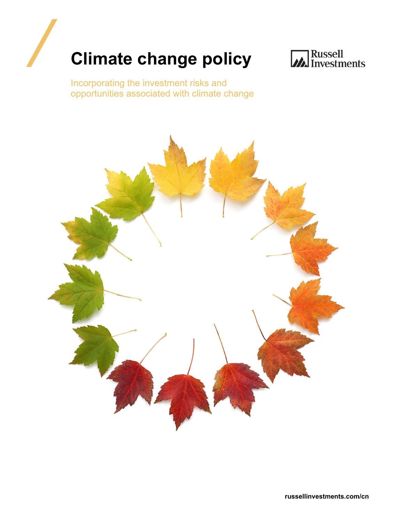



Incorporating the investment risks and opportunities associated with climate change

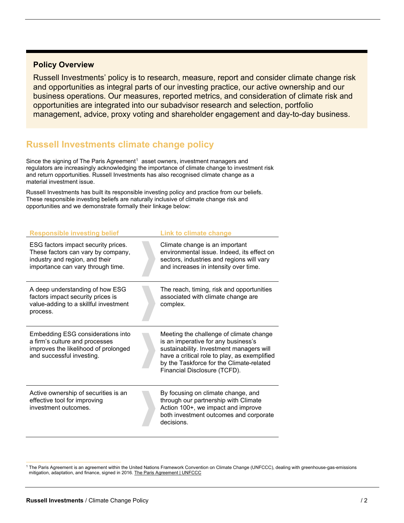## **Policy Overview**

Russell Investments' policy is to research, measure, report and consider climate change risk and opportunities as integral parts of our investing practice, our active ownership and our business operations. Our measures, reported metrics, and consideration of climate risk and opportunities are integrated into our subadvisor research and selection, portfolio management, advice, proxy voting and shareholder engagement and day-to-day business.

# **Russell Investments climate change policy**

Since the signing of The Paris Agreement<sup>[1](#page-1-0)</sup> asset owners, investment managers and regulators are increasingly acknowledging the importance of climate change to investment risk and return opportunities. Russell Investments has also recognised climate change as a material investment issue.

Russell Investments has built its responsible investing policy and practice from our beliefs. These responsible investing beliefs are naturally inclusive of climate change risk and opportunities and we demonstrate formally their linkage below:

| <b>Responsible investing belief</b>                                                                                                              | Link to climate change                                                                                                                                                                                                                                 |
|--------------------------------------------------------------------------------------------------------------------------------------------------|--------------------------------------------------------------------------------------------------------------------------------------------------------------------------------------------------------------------------------------------------------|
| ESG factors impact security prices.<br>These factors can vary by company,<br>industry and region, and their<br>importance can vary through time. | Climate change is an important<br>environmental issue. Indeed, its effect on<br>sectors, industries and regions will vary<br>and increases in intensity over time.                                                                                     |
| A deep understanding of how ESG<br>factors impact security prices is<br>value-adding to a skillful investment<br>process.                        | The reach, timing, risk and opportunities<br>associated with climate change are<br>complex.                                                                                                                                                            |
| <b>Embedding ESG considerations into</b><br>a firm's culture and processes<br>improves the likelihood of prolonged<br>and successful investing.  | Meeting the challenge of climate change<br>is an imperative for any business's<br>sustainability. Investment managers will<br>have a critical role to play, as exemplified<br>by the Taskforce for the Climate-related<br>Financial Disclosure (TCFD). |
| Active ownership of securities is an<br>effective tool for improving<br>investment outcomes.                                                     | By focusing on climate change, and<br>through our partnership with Climate<br>Action 100+, we impact and improve<br>both investment outcomes and corporate<br>decisions.                                                                               |

<span id="page-1-0"></span><sup>1</sup> The Paris Agreement is an agreement within the United Nations Framework Convention on Climate Change (UNFCCC), dealing with greenhouse-gas-emissions mitigation, adaptation, and finance, signed in 2016. [The Paris Agreement | UNFCCC](https://unfccc.int/process-and-meetings/the-paris-agreement/the-paris-agreement)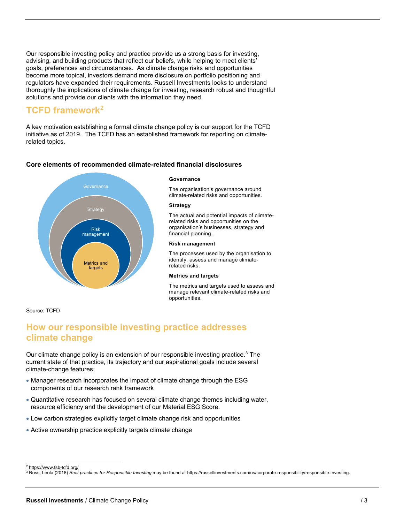Our responsible investing policy and practice provide us a strong basis for investing, advising, and building products that reflect our beliefs, while helping to meet clients' goals, preferences and circumstances. As climate change risks and opportunities become more topical, investors demand more disclosure on portfolio positioning and regulators have expanded their requirements. Russell Investments looks to understand thoroughly the implications of climate change for investing, research robust and thoughtful solutions and provide our clients with the information they need.

# **TCFD framework[2](#page-2-0)**

A key motivation establishing a formal climate change policy is our support for the TCFD initiative as of 2019. The TCFD has an established framework for reporting on climaterelated topics.

## **Core elements of recommended climate-related financial disclosures**



#### **Governance**

The organisation's governance around climate-related risks and opportunities.

#### **Strategy**

The actual and potential impacts of climaterelated risks and opportunities on the organisation's businesses, strategy and financial planning.

#### **Risk management**

The processes used by the organisation to identify, assess and manage climaterelated risks.

## **Metrics and targets**

The metrics and targets used to assess and manage relevant climate-related risks and opportunities.

## Source: TCFD

# **How our responsible investing practice addresses climate change**

Our climate change policy is an extension of our responsible investing practice.<sup>[3](#page-2-1)</sup> The current state of that practice, its trajectory and our aspirational goals include several climate-change features:

- Manager research incorporates the impact of climate change through the ESG components of our research rank framework
- Quantitative research has focused on several climate change themes including water, resource efficiency and the development of our Material ESG Score.
- Low carbon strategies explicitly target climate change risk and opportunities
- Active ownership practice explicitly targets climate change

<sup>2</sup> <https://www.fsb-tcfd.org/>

<span id="page-2-1"></span><span id="page-2-0"></span><sup>3</sup> Ross, Leola (2018) *Best practices for Responsible Investing* may be found a[t https://russellinvestments.com/us/corporate-responsibility/responsible-investing.](https://russellinvestments.com/us/corporate-responsibility/responsible-investing)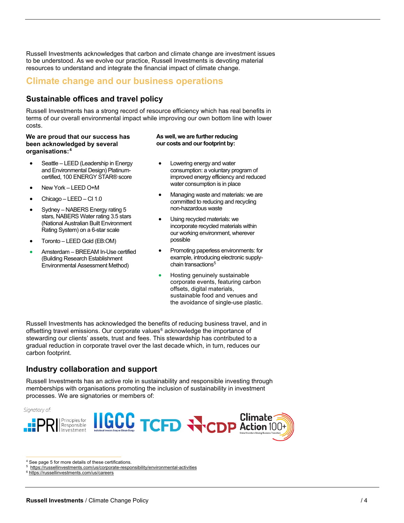Russell Investments acknowledges that carbon and climate change are investment issues to be understood. As we evolve our practice, Russell Investments is devoting material resources to understand and integrate the financial impact of climate change.

# **Climate change and our business operations**

# **Sustainable offices and travel policy**

Russell Investments has a strong record of resource efficiency which has real benefits in terms of our overall environmental impact while improving our own bottom line with lower costs.

## **We are proud that our success has been acknowledged by several organisations:[4](#page-3-0)**

- Seattle LEED (Leadership in Energy and Environmental Design) Platinumcertified, 100 ENERGY STAR® score
- New York LEED O+M
- Chicago LEED CI 1.0
- Sydney NABERS Energy rating 5 stars, NABERS Water rating 3.5 stars (National Australian Built Environment Rating System) on a 6-star scale
- Toronto LEED Gold (EB:OM)
- Amsterdam BREEAM In-Use certified (Building Research Establishment Environmental Assessment Method)

## **As well, we are further reducing our costs and our footprint by:**

- Lowering energy and water consumption: a voluntary program of improved energy efficiency and reduced water consumption is in place
- Managing waste and materials: we are committed to reducing and recycling non-hazardous waste
- Using recycled materials: we incorporate recycled materials within our working environment, wherever possible
- Promoting paperless environments: for example, introducing electronic supplychain transactions<sup>5</sup>
- Hosting genuinely sustainable corporate events, featuring carbon offsets, digital materials, sustainable food and venues and the avoidance of single-use plastic.

Russell Investments has acknowledged the benefits of reducing business travel, and in offsetting travel emissions. Our corporate values $6$  acknowledge the importance of stewarding our clients' assets, trust and fees. This stewardship has contributed to a gradual reduction in corporate travel over the last decade which, in turn, reduces our carbon footprint.

# **Industry collaboration and support**

Russell Investments has an active role in sustainability and responsible investing through memberships with organisations promoting the inclusion of sustainability in investment processes. We are signatories or members of:





<span id="page-3-0"></span><sup>4</sup> See page 5 for more details of these certifications.

<sup>6</sup> <https://russellinvestments.com/us/careers>

<span id="page-3-2"></span><span id="page-3-1"></span><sup>5</sup><https://russellinvestments.com/us/corporate-responsibility/environmental-activities>